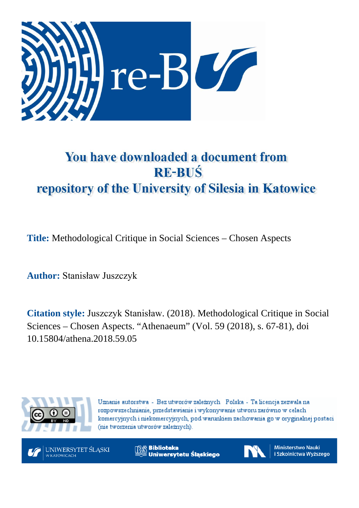

# You have downloaded a document from **RE-BUŚ** repository of the University of Silesia in Katowice

**Title:** Methodological Critique in Social Sciences – Chosen Aspects

**Author:** Stanisław Juszczyk

**Citation style:** Juszczyk Stanisław. (2018). Methodological Critique in Social Sciences – Chosen Aspects. "Athenaeum" (Vol. 59 (2018), s. 67-81), doi 10.15804/athena.2018.59.05



Uznanie autorstwa - Bez utworów zależnych Polska - Ta licencja zezwala na rozpowszechnianie, przedstawianie i wykonywanie utworu zarówno w celach komercyjnych i niekomercyjnych, pod warunkiem zachowania go w oryginalnej postaci (nie tworzenia utworów zależnych).



**Biblioteka** Uniwersytetu Śląskiego



**Ministerstwo Nauki** i Szkolnictwa Wyższego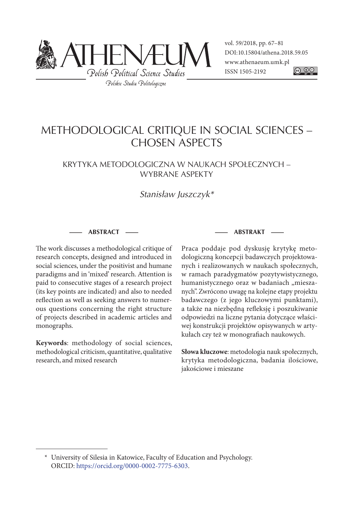

vol. 59/2018, pp. 67–81 DOI: 10.15804/athena.2018.59.05 www.athenaeum.umk.pl ISSN 1505-2192 <u>@ 0©</u>

## METHODOLOGICAL CRITIQUE IN SOCIAL SCIENCES – CHOSEN ASPECTS

### KRYTYKA METODOLOGICZNA W NAUKACH SPOŁECZNYCH – WYBRANE ASPEKTY

## Stanisław Juszczyk\*

**— ABSTRACT —**

The work discusses a methodological critique of research concepts, designed and introduced in social sciences, under the positivist and humane paradigms and in 'mixed' research. Attention is paid to consecutive stages of a research project (its key points are indicated) and also to needed reflection as well as seeking answers to numerous questions concerning the right structure of projects described in academic articles and monographs.

**Keywords**: methodology of social sciences, methodological criticism, quantitative, qualitative research, and mixed research

#### **— ABSTRAKT —**

Praca poddaje pod dyskusję krytykę metodologiczną koncepcji badawczych projektowanych i realizowanych w naukach społecznych, w ramach paradygmatów pozytywistycznego, humanistycznego oraz w badaniach "mieszanych". Zwrócono uwagę na kolejne etapy projektu badawczego (z jego kluczowymi punktami), a także na niezbędną refleksję i poszukiwanie odpowiedzi na liczne pytania dotyczące właściwej konstrukcji projektów opisywanych w artykułach czy też w monografiach naukowych.

**Słowa kluczowe**: metodologia nauk społecznych, krytyka metodologiczna, badania ilościowe, jakościowe i mieszane

<sup>\*</sup> University of Silesia in Katowice, Faculty of Education and Psychology. ORCID: https://orcid.org/0000-0002-7775-6303.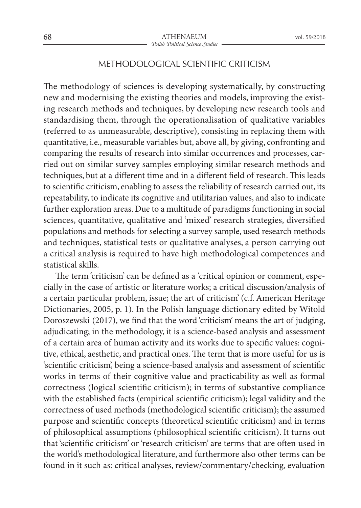## METHODOLOGICAL SCIENTIFIC CRITICISM

The methodology of sciences is developing systematically, by constructing new and modernising the existing theories and models, improving the existing research methods and techniques, by developing new research tools and standardising them, through the operationalisation of qualitative variables (referred to as unmeasurable, descriptive), consisting in replacing them with quantitative, i.e., measurable variables but, above all, by giving, confronting and comparing the results of research into similar occurrences and processes, carried out on similar survey samples employing similar research methods and techniques, but at a different time and in a different field of research. This leads to scientific criticism, enabling to assess the reliability of research carried out, its repeatability, to indicate its cognitive and utilitarian values, and also to indicate further exploration areas. Due to a multitude of paradigms functioning in social sciences, quantitative, qualitative and 'mixed' research strategies, diversified populations and methods for selecting a survey sample, used research methods and techniques, statistical tests or qualitative analyses, a person carrying out a critical analysis is required to have high methodological competences and statistical skills.

The term 'criticism' can be defined as a 'critical opinion or comment, especially in the case of artistic or literature works; a critical discussion/analysis of a certain particular problem, issue; the art of criticism' (c.f. American Heritage Dictionaries, 2005, p. 1). In the Polish language dictionary edited by Witold Doroszewski (2017), we find that the word 'criticism' means the art of judging, adjudicating; in the methodology, it is a science-based analysis and assessment of a certain area of human activity and its works due to specific values: cognitive, ethical, aesthetic, and practical ones. The term that is more useful for us is 'scientific criticism', being a science-based analysis and assessment of scientific works in terms of their cognitive value and practicability as well as formal correctness (logical scientific criticism); in terms of substantive compliance with the established facts (empirical scientific criticism); legal validity and the correctness of used methods (methodological scientific criticism); the assumed purpose and scientific concepts (theoretical scientific criticism) and in terms of philosophical assumptions (philosophical scientific criticism). It turns out that 'scientific criticism' or 'research criticism' are terms that are often used in the world's methodological literature, and furthermore also other terms can be found in it such as: critical analyses, review/commentary/checking, evaluation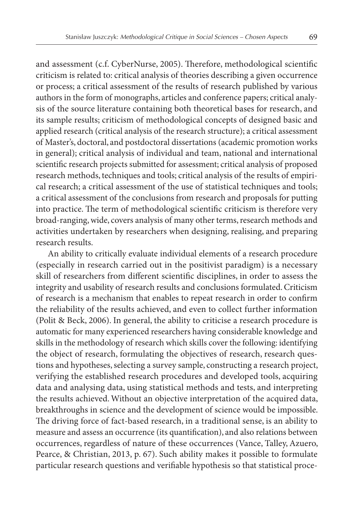and assessment (c.f. CyberNurse, 2005). Therefore, methodological scientific criticism is related to: critical analysis of theories describing a given occurrence or process; a critical assessment of the results of research published by various authors in the form of monographs, articles and conference papers; critical analysis of the source literature containing both theoretical bases for research, and its sample results; criticism of methodological concepts of designed basic and applied research (critical analysis of the research structure); a critical assessment of Master's, doctoral, and postdoctoral dissertations (academic promotion works in general); critical analysis of individual and team, national and international scientific research projects submitted for assessment; critical analysis of proposed research methods, techniques and tools; critical analysis of the results of empirical research; a critical assessment of the use of statistical techniques and tools; a critical assessment of the conclusions from research and proposals for putting into practice. The term of methodological scientific criticism is therefore very broad-ranging, wide, covers analysis of many other terms, research methods and activities undertaken by researchers when designing, realising, and preparing research results.

An ability to critically evaluate individual elements of a research procedure (especially in research carried out in the positivist paradigm) is a necessary skill of researchers from different scientific disciplines, in order to assess the integrity and usability of research results and conclusions formulated. Criticism of research is a mechanism that enables to repeat research in order to confirm the reliability of the results achieved, and even to collect further information (Polit & Beck, 2006). In general, the ability to criticise a research procedure is automatic for many experienced researchers having considerable knowledge and skills in the methodology of research which skills cover the following: identifying the object of research, formulating the objectives of research, research questions and hypotheses, selecting a survey sample, constructing a research project, verifying the established research procedures and developed tools, acquiring data and analysing data, using statistical methods and tests, and interpreting the results achieved. Without an objective interpretation of the acquired data, breakthroughs in science and the development of science would be impossible. The driving force of fact-based research, in a traditional sense, is an ability to measure and assess an occurrence (its quantification), and also relations between occurrences, regardless of nature of these occurrences (Vance, Talley, Azuero, Pearce, & Christian, 2013, p. 67). Such ability makes it possible to formulate particular research questions and verifiable hypothesis so that statistical proce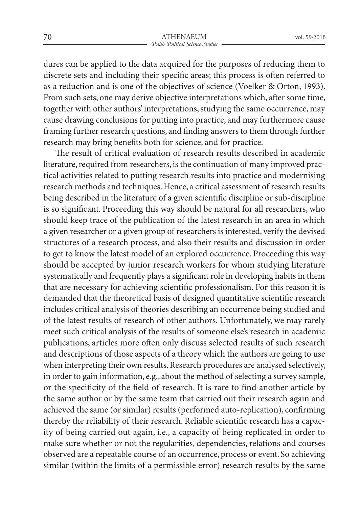dures can be applied to the data acquired for the purposes of reducing them to discrete sets and including their specific areas; this process is often referred to as a reduction and is one of the objectives of science (Voelker & Orton, 1993). From such sets, one may derive objective interpretations which, after some time, together with other authors' interpretations, studying the same occurrence, may cause drawing conclusions for putting into practice, and may furthermore cause framing further research questions, and finding answers to them through further research may bring benefits both for science, and for practice.

The result of critical evaluation of research results described in academic literature, required from researchers, is the continuation of many improved practical activities related to putting research results into practice and modernising research methods and techniques. Hence, a critical assessment of research results being described in the literature of a given scientific discipline or sub-discipline is so significant. Proceeding this way should be natural for all researchers, who should keep trace of the publication of the latest research in an area in which a given researcher or a given group of researchers is interested, verify the devised structures of a research process, and also their results and discussion in order to get to know the latest model of an explored occurrence. Proceeding this way should be accepted by junior research workers for whom studying literature systematically and frequently plays a significant role in developing habits in them that are necessary for achieving scientific professionalism. For this reason it is demanded that the theoretical basis of designed quantitative scientific research includes critical analysis of theories describing an occurrence being studied and of the latest results of research of other authors. Unfortunately, we may rarely meet such critical analysis of the results of someone else's research in academic publications, articles more often only discuss selected results of such research and descriptions of those aspects of a theory which the authors are going to use when interpreting their own results. Research procedures are analysed selectively, in order to gain information, e.g., about the method of selecting a survey sample, or the specificity of the field of research. It is rare to find another article by the same author or by the same team that carried out their research again and achieved the same (or similar) results (performed auto-replication), confirming thereby the reliability of their research. Reliable scientific research has a capacity of being carried out again, i.e., a capacity of being replicated in order to make sure whether or not the regularities, dependencies, relations and courses observed are a repeatable course of an occurrence, process or event. So achieving similar (within the limits of a permissible error) research results by the same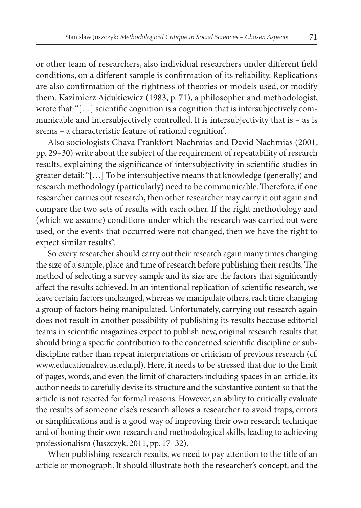or other team of researchers, also individual researchers under different field conditions, on a different sample is confirmation of its reliability. Replications are also confirmation of the rightness of theories or models used, or modify them. Kazimierz Ajdukiewicz (1983, p. 71), a philosopher and methodologist, wrote that: "[…] scientific cognition is a cognition that is intersubjectively communicable and intersubjectively controlled. It is intersubjectivity that is – as is seems – a characteristic feature of rational cognition".

Also sociologists Chava Frankfort-Nachmias and David Nachmias (2001, pp. 29–30) write about the subject of the requirement of repeatability of research results, explaining the significance of intersubjectivity in scientific studies in greater detail: "[…] To be intersubjective means that knowledge (generally) and research methodology (particularly) need to be communicable. Therefore, if one researcher carries out research, then other researcher may carry it out again and compare the two sets of results with each other. If the right methodology and (which we assume) conditions under which the research was carried out were used, or the events that occurred were not changed, then we have the right to expect similar results".

So every researcher should carry out their research again many times changing the size of a sample, place and time of research before publishing their results. The method of selecting a survey sample and its size are the factors that significantly affect the results achieved. In an intentional replication of scientific research, we leave certain factors unchanged, whereas we manipulate others, each time changing a group of factors being manipulated. Unfortunately, carrying out research again does not result in another possibility of publishing its results because editorial teams in scientific magazines expect to publish new, original research results that should bring a specific contribution to the concerned scientific discipline or subdiscipline rather than repeat interpretations or criticism of previous research (cf. www.educationalrev.us.edu.pl). Here, it needs to be stressed that due to the limit of pages, words, and even the limit of characters including spaces in an article, its author needs to carefully devise its structure and the substantive content so that the article is not rejected for formal reasons. However, an ability to critically evaluate the results of someone else's research allows a researcher to avoid traps, errors or simplifications and is a good way of improving their own research technique and of honing their own research and methodological skills, leading to achieving professionalism (Juszczyk, 2011, pp. 17–32).

When publishing research results, we need to pay attention to the title of an article or monograph. It should illustrate both the researcher's concept, and the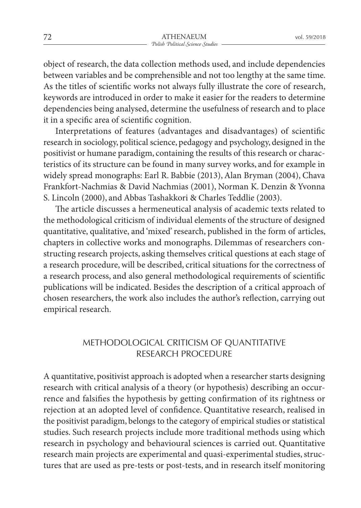object of research, the data collection methods used, and include dependencies between variables and be comprehensible and not too lengthy at the same time. As the titles of scientific works not always fully illustrate the core of research, keywords are introduced in order to make it easier for the readers to determine dependencies being analysed, determine the usefulness of research and to place it in a specific area of scientific cognition.

Interpretations of features (advantages and disadvantages) of scientific research in sociology, political science, pedagogy and psychology, designed in the positivist or humane paradigm, containing the results of this research or characteristics of its structure can be found in many survey works, and for example in widely spread monographs: Earl R. Babbie (2013), Alan Bryman (2004), Chava Frankfort-Nachmias & David Nachmias (2001), Norman K. Denzin & Yvonna S. Lincoln (2000), and Abbas Tashakkori & Charles Teddlie (2003).

The article discusses a hermeneutical analysis of academic texts related to the methodological criticism of individual elements of the structure of designed quantitative, qualitative, and 'mixed' research, published in the form of articles, chapters in collective works and monographs. Dilemmas of researchers constructing research projects, asking themselves critical questions at each stage of a research procedure, will be described, critical situations for the correctness of a research process, and also general methodological requirements of scientific publications will be indicated. Besides the description of a critical approach of chosen researchers, the work also includes the author's reflection, carrying out empirical research.

## METHODOLOGICAL CRITICISM OF QUANTITATIVE RESEARCH PROCEDURE

A quantitative, positivist approach is adopted when a researcher starts designing research with critical analysis of a theory (or hypothesis) describing an occurrence and falsifies the hypothesis by getting confirmation of its rightness or rejection at an adopted level of confidence. Quantitative research, realised in the positivist paradigm, belongs to the category of empirical studies or statistical studies. Such research projects include more traditional methods using which research in psychology and behavioural sciences is carried out. Quantitative research main projects are experimental and quasi-experimental studies, structures that are used as pre-tests or post-tests, and in research itself monitoring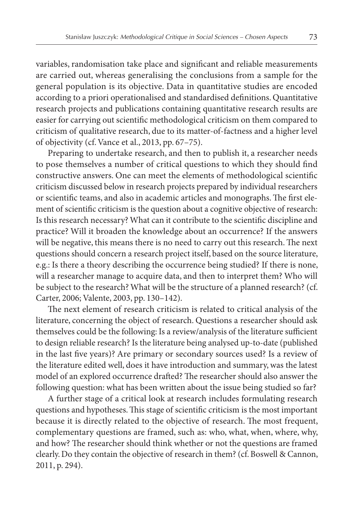variables, randomisation take place and significant and reliable measurements are carried out, whereas generalising the conclusions from a sample for the general population is its objective. Data in quantitative studies are encoded according to a priori operationalised and standardised definitions. Quantitative research projects and publications containing quantitative research results are easier for carrying out scientific methodological criticism on them compared to criticism of qualitative research, due to its matter-of-factness and a higher level of objectivity (cf. Vance et al., 2013, pp. 67–75).

Preparing to undertake research, and then to publish it, a researcher needs to pose themselves a number of critical questions to which they should find constructive answers. One can meet the elements of methodological scientific criticism discussed below in research projects prepared by individual researchers or scientific teams, and also in academic articles and monographs. The first element of scientific criticism is the question about a cognitive objective of research: Is this research necessary? What can it contribute to the scientific discipline and practice? Will it broaden the knowledge about an occurrence? If the answers will be negative, this means there is no need to carry out this research. The next questions should concern a research project itself, based on the source literature, e.g.: Is there a theory describing the occurrence being studied? If there is none, will a researcher manage to acquire data, and then to interpret them? Who will be subject to the research? What will be the structure of a planned research? (cf. Carter, 2006; Valente, 2003, pp. 130–142).

The next element of research criticism is related to critical analysis of the literature, concerning the object of research. Questions a researcher should ask themselves could be the following: Is a review/analysis of the literature sufficient to design reliable research? Is the literature being analysed up-to-date (published in the last five years)? Are primary or secondary sources used? Is a review of the literature edited well, does it have introduction and summary, was the latest model of an explored occurrence drafted? The researcher should also answer the following question: what has been written about the issue being studied so far?

A further stage of a critical look at research includes formulating research questions and hypotheses. This stage of scientific criticism is the most important because it is directly related to the objective of research. The most frequent, complementary questions are framed, such as: who, what, when, where, why, and how? The researcher should think whether or not the questions are framed clearly. Do they contain the objective of research in them? (cf. Boswell & Cannon, 2011, p. 294).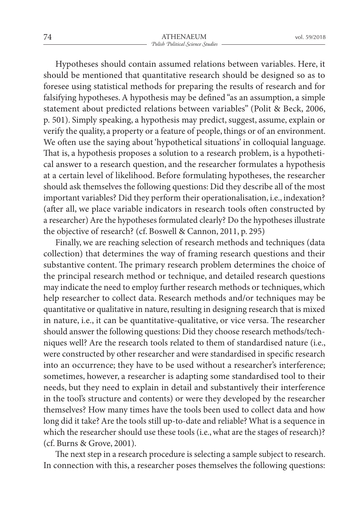Hypotheses should contain assumed relations between variables. Here, it should be mentioned that quantitative research should be designed so as to foresee using statistical methods for preparing the results of research and for falsifying hypotheses. A hypothesis may be defined "as an assumption, a simple statement about predicted relations between variables" (Polit & Beck, 2006, p. 501). Simply speaking, a hypothesis may predict, suggest, assume, explain or verify the quality, a property or a feature of people, things or of an environment. We often use the saying about 'hypothetical situations' in colloquial language. That is, a hypothesis proposes a solution to a research problem, is a hypothetical answer to a research question, and the researcher formulates a hypothesis at a certain level of likelihood. Before formulating hypotheses, the researcher should ask themselves the following questions: Did they describe all of the most important variables? Did they perform their operationalisation, i.e., indexation? (after all, we place variable indicators in research tools often constructed by a researcher) Are the hypotheses formulated clearly? Do the hypotheses illustrate the objective of research? (cf. Boswell & Cannon, 2011, p. 295)

Finally, we are reaching selection of research methods and techniques (data collection) that determines the way of framing research questions and their substantive content. The primary research problem determines the choice of the principal research method or technique, and detailed research questions may indicate the need to employ further research methods or techniques, which help researcher to collect data. Research methods and/or techniques may be quantitative or qualitative in nature, resulting in designing research that is mixed in nature, i.e., it can be quantitative-qualitative, or vice versa. The researcher should answer the following questions: Did they choose research methods/techniques well? Are the research tools related to them of standardised nature (i.e., were constructed by other researcher and were standardised in specific research into an occurrence; they have to be used without a researcher's interference; sometimes, however, a researcher is adapting some standardised tool to their needs, but they need to explain in detail and substantively their interference in the tool's structure and contents) or were they developed by the researcher themselves? How many times have the tools been used to collect data and how long did it take? Are the tools still up-to-date and reliable? What is a sequence in which the researcher should use these tools (i.e., what are the stages of research)? (cf. Burns & Grove, 2001).

The next step in a research procedure is selecting a sample subject to research. In connection with this, a researcher poses themselves the following questions: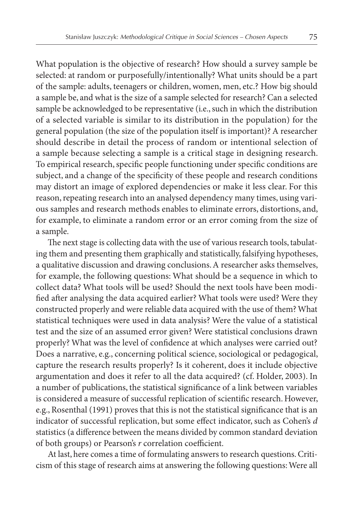What population is the objective of research? How should a survey sample be selected: at random or purposefully/intentionally? What units should be a part of the sample: adults, teenagers or children, women, men, etc.? How big should a sample be, and what is the size of a sample selected for research? Can a selected sample be acknowledged to be representative (i.e., such in which the distribution of a selected variable is similar to its distribution in the population) for the general population (the size of the population itself is important)? A researcher should describe in detail the process of random or intentional selection of a sample because selecting a sample is a critical stage in designing research. To empirical research, specific people functioning under specific conditions are subject, and a change of the specificity of these people and research conditions may distort an image of explored dependencies or make it less clear. For this reason, repeating research into an analysed dependency many times, using various samples and research methods enables to eliminate errors, distortions, and, for example, to eliminate a random error or an error coming from the size of a sample.

The next stage is collecting data with the use of various research tools, tabulating them and presenting them graphically and statistically, falsifying hypotheses, a qualitative discussion and drawing conclusions. A researcher asks themselves, for example, the following questions: What should be a sequence in which to collect data? What tools will be used? Should the next tools have been modified after analysing the data acquired earlier? What tools were used? Were they constructed properly and were reliable data acquired with the use of them? What statistical techniques were used in data analysis? Were the value of a statistical test and the size of an assumed error given? Were statistical conclusions drawn properly? What was the level of confidence at which analyses were carried out? Does a narrative, e.g., concerning political science, sociological or pedagogical, capture the research results properly? Is it coherent, does it include objective argumentation and does it refer to all the data acquired? (cf. Holder, 2003). In a number of publications, the statistical significance of a link between variables is considered a measure of successful replication of scientific research. However, e.g., Rosenthal (1991) proves that this is not the statistical significance that is an indicator of successful replication, but some effect indicator, such as Cohen's *d* statistics (a difference between the means divided by common standard deviation of both groups) or Pearson's *r* correlation coefficient.

At last, here comes a time of formulating answers to research questions. Criticism of this stage of research aims at answering the following questions: Were all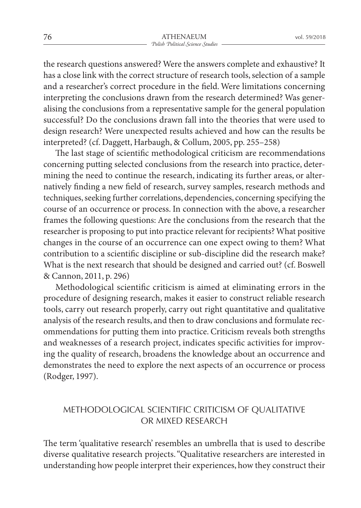the research questions answered? Were the answers complete and exhaustive? It has a close link with the correct structure of research tools, selection of a sample and a researcher's correct procedure in the field. Were limitations concerning interpreting the conclusions drawn from the research determined? Was generalising the conclusions from a representative sample for the general population successful? Do the conclusions drawn fall into the theories that were used to design research? Were unexpected results achieved and how can the results be interpreted? (cf. Daggett, Harbaugh, & Collum, 2005, pp. 255–258)

The last stage of scientific methodological criticism are recommendations concerning putting selected conclusions from the research into practice, determining the need to continue the research, indicating its further areas, or alternatively finding a new field of research, survey samples, research methods and techniques, seeking further correlations, dependencies, concerning specifying the course of an occurrence or process. In connection with the above, a researcher frames the following questions: Are the conclusions from the research that the researcher is proposing to put into practice relevant for recipients? What positive changes in the course of an occurrence can one expect owing to them? What contribution to a scientific discipline or sub-discipline did the research make? What is the next research that should be designed and carried out? (cf. Boswell & Cannon, 2011, p. 296)

Methodological scientific criticism is aimed at eliminating errors in the procedure of designing research, makes it easier to construct reliable research tools, carry out research properly, carry out right quantitative and qualitative analysis of the research results, and then to draw conclusions and formulate recommendations for putting them into practice. Criticism reveals both strengths and weaknesses of a research project, indicates specific activities for improving the quality of research, broadens the knowledge about an occurrence and demonstrates the need to explore the next aspects of an occurrence or process (Rodger, 1997).

## METHODOLOGICAL SCIENTIFIC CRITICISM OF QUALITATIVE OR MIXED RESEARCH

The term 'qualitative research' resembles an umbrella that is used to describe diverse qualitative research projects. "Qualitative researchers are interested in understanding how people interpret their experiences, how they construct their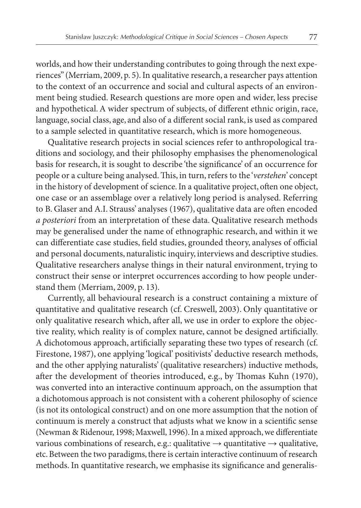worlds, and how their understanding contributes to going through the next experiences" (Merriam, 2009, p. 5). In qualitative research, a researcher pays attention to the context of an occurrence and social and cultural aspects of an environment being studied. Research questions are more open and wider, less precise and hypothetical. A wider spectrum of subjects, of different ethnic origin, race, language, social class, age, and also of a different social rank, is used as compared to a sample selected in quantitative research, which is more homogeneous.

Qualitative research projects in social sciences refer to anthropological traditions and sociology, and their philosophy emphasises the phenomenological basis for research, it is sought to describe 'the significance' of an occurrence for people or a culture being analysed. This, in turn, refers to the '*verstehen*' concept in the history of development of science. In a qualitative project, often one object, one case or an assemblage over a relatively long period is analysed. Referring to B. Glaser and A.I. Strauss' analyses (1967), qualitative data are often encoded *a posteriori* from an interpretation of these data. Qualitative research methods may be generalised under the name of ethnographic research, and within it we can differentiate case studies, field studies, grounded theory, analyses of official and personal documents, naturalistic inquiry, interviews and descriptive studies. Qualitative researchers analyse things in their natural environment, trying to construct their sense or interpret occurrences according to how people understand them (Merriam, 2009, p. 13).

Currently, all behavioural research is a construct containing a mixture of quantitative and qualitative research (cf. Creswell, 2003). Only quantitative or only qualitative research which, after all, we use in order to explore the objective reality, which reality is of complex nature, cannot be designed artificially. A dichotomous approach, artificially separating these two types of research (cf. Firestone, 1987), one applying 'logical' positivists' deductive research methods, and the other applying naturalists' (qualitative researchers) inductive methods, after the development of theories introduced, e.g., by Thomas Kuhn (1970), was converted into an interactive continuum approach, on the assumption that a dichotomous approach is not consistent with a coherent philosophy of science (is not its ontological construct) and on one more assumption that the notion of continuum is merely a construct that adjusts what we know in a scientific sense (Newman & Ridenour, 1998; Maxwell, 1996). In a mixed approach, we differentiate various combinations of research, e.g.: qualitative  $\rightarrow$  quantitative  $\rightarrow$  qualitative, etc. Between the two paradigms, there is certain interactive continuum of research methods. In quantitative research, we emphasise its significance and generalis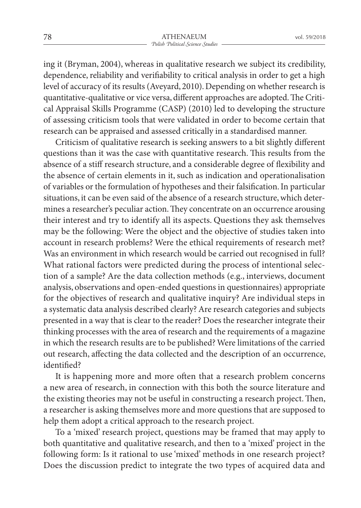ing it (Bryman, 2004), whereas in qualitative research we subject its credibility, dependence, reliability and verifiability to critical analysis in order to get a high level of accuracy of its results (Aveyard, 2010). Depending on whether research is quantitative-qualitative or vice versa, different approaches are adopted. The Critical Appraisal Skills Programme (CASP) (2010) led to developing the structure of assessing criticism tools that were validated in order to become certain that research can be appraised and assessed critically in a standardised manner.

Criticism of qualitative research is seeking answers to a bit slightly different questions than it was the case with quantitative research. This results from the absence of a stiff research structure, and a considerable degree of flexibility and the absence of certain elements in it, such as indication and operationalisation of variables or the formulation of hypotheses and their falsification. In particular situations, it can be even said of the absence of a research structure, which determines a researcher's peculiar action. They concentrate on an occurrence arousing their interest and try to identify all its aspects. Questions they ask themselves may be the following: Were the object and the objective of studies taken into account in research problems? Were the ethical requirements of research met? Was an environment in which research would be carried out recognised in full? What rational factors were predicted during the process of intentional selection of a sample? Are the data collection methods (e.g., interviews, document analysis, observations and open-ended questions in questionnaires) appropriate for the objectives of research and qualitative inquiry? Are individual steps in a systematic data analysis described clearly? Are research categories and subjects presented in a way that is clear to the reader? Does the researcher integrate their thinking processes with the area of research and the requirements of a magazine in which the research results are to be published? Were limitations of the carried out research, affecting the data collected and the description of an occurrence, identified?

It is happening more and more often that a research problem concerns a new area of research, in connection with this both the source literature and the existing theories may not be useful in constructing a research project. Then, a researcher is asking themselves more and more questions that are supposed to help them adopt a critical approach to the research project.

To a 'mixed' research project, questions may be framed that may apply to both quantitative and qualitative research, and then to a 'mixed' project in the following form: Is it rational to use 'mixed' methods in one research project? Does the discussion predict to integrate the two types of acquired data and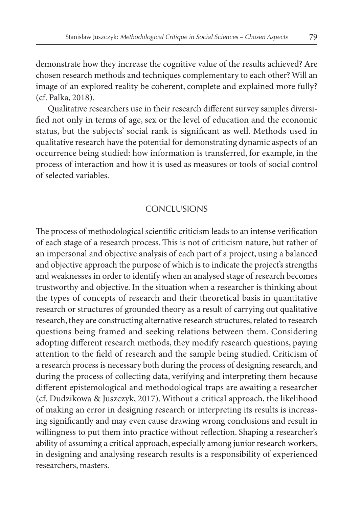demonstrate how they increase the cognitive value of the results achieved? Are chosen research methods and techniques complementary to each other? Will an image of an explored reality be coherent, complete and explained more fully? (cf. Palka, 2018).

Qualitative researchers use in their research different survey samples diversified not only in terms of age, sex or the level of education and the economic status, but the subjects' social rank is significant as well. Methods used in qualitative research have the potential for demonstrating dynamic aspects of an occurrence being studied: how information is transferred, for example, in the process of interaction and how it is used as measures or tools of social control of selected variables.

## **CONCLUSIONS**

The process of methodological scientific criticism leads to an intense verification of each stage of a research process. This is not of criticism nature, but rather of an impersonal and objective analysis of each part of a project, using a balanced and objective approach the purpose of which is to indicate the project's strengths and weaknesses in order to identify when an analysed stage of research becomes trustworthy and objective. In the situation when a researcher is thinking about the types of concepts of research and their theoretical basis in quantitative research or structures of grounded theory as a result of carrying out qualitative research, they are constructing alternative research structures, related to research questions being framed and seeking relations between them. Considering adopting different research methods, they modify research questions, paying attention to the field of research and the sample being studied. Criticism of a research process is necessary both during the process of designing research, and during the process of collecting data, verifying and interpreting them because different epistemological and methodological traps are awaiting a researcher (cf. Dudzikowa & Juszczyk, 2017). Without a critical approach, the likelihood of making an error in designing research or interpreting its results is increasing significantly and may even cause drawing wrong conclusions and result in willingness to put them into practice without reflection. Shaping a researcher's ability of assuming a critical approach, especially among junior research workers, in designing and analysing research results is a responsibility of experienced researchers, masters.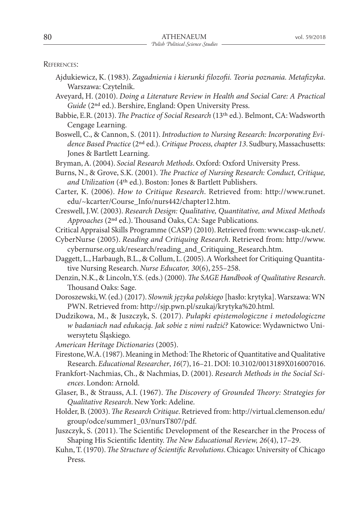References:

- Ajdukiewicz, K. (1983). *Zagadnienia i kierunki filozofii. Teoria poznania. Metafizyka*. Warszawa: Czytelnik.
- Aveyard, H. (2010). *Doing a Literature Review in Health and Social Care: A Practical Guide* (2nd ed.). Bershire, England: Open University Press.
- Babbie, E.R. (2013).*The Practice of Social Research* (13th ed.). Belmont, CA: Wadsworth Cengage Learning.
- Boswell, C., & Cannon, S. (2011). *Introduction to Nursing Research: Incorporating Evidence Based Practice* (2nd ed.). *Critique Process, chapter 13*. Sudbury, Massachusetts: Jones & Bartlett Learning.

Bryman, A. (2004). *Social Research Methods*. Oxford: Oxford University Press.

- Burns, N., & Grove, S.K. (2001). *The Practice of Nursing Research: Conduct, Critique, and Utilization* (4th ed.). Boston: Jones & Bartlett Publishers.
- Carter, K. (2006). *How to Critique Research*. Retrieved from: http://www.runet. edu/~kcarter/Course\_Info/nurs442/chapter12.htm.
- Creswell, J.W. (2003). *Research Design: Qualitative, Quantitative, and Mixed Methods Approaches* (2nd ed.). Thousand Oaks, CA: Sage Publications.
- Critical Appraisal Skills Programme (CASP) (2010). Retrieved from: www.casp-uk.net/.
- CyberNurse (2005). *Reading and Critiquing Research*. Retrieved from: http://www. cybernurse.org.uk/research/reading\_and\_Critiquing\_Research.htm.
- Daggett, L., Harbaugh, B.L., & Collum, L. (2005). A Worksheet for Critiquing Quantitative Nursing Research. *Nurse Educator, 30*(6), 255–258.
- Denzin, N.K., & Lincoln, Y.S. (eds.) (2000).*The SAGE Handbook of Qualitative Research*. Thousand Oaks: Sage.
- Doroszewski, W. (ed.) (2017). *Słownik języka polskiego* [hasło: krytyka]. Warszawa: WN PWN. Retrieved from: http://sjp.pwn.pl/szukaj/krytyka%20.html.
- Dudzikowa, M., & Juszczyk, S. (2017). *Pułapki epistemologiczne i metodologiczne w badaniach nad edukacją. Jak sobie z nimi radzić?* Katowice: Wydawnictwo Uniwersytetu Śląskiego.
- *American Heritage Dictionaries* (2005).
- Firestone, W.A. (1987). Meaning in Method: The Rhetoric of Quantitative and Qualitative Research. *Educational Researcher*, *16*(7), 16–21. DOI: 10.3102/0013189X016007016.
- Frankfort-Nachmias, Ch., & Nachmias, D. (2001). *Research Methods in the Social Sciences*. London: Arnold.
- Glaser, B., & Strauss, A.I. (1967). *The Discovery of Grounded Theory: Strategies for Qualitative Research*. New York: Adeline.
- Holder, B. (2003).*The Research Critique*. Retrieved from: http://virtual.clemenson.edu/ group/odce/summer1\_03/nursT807/pdf.
- Juszczyk, S. (2011). The Scientific Development of the Researcher in the Process of Shaping His Scientific Identity. *The New Educational Review, 26*(4), 17–29.
- Kuhn, T. (1970).*The Structure of Scientific Revolutions*. Chicago: University of Chicago Press.